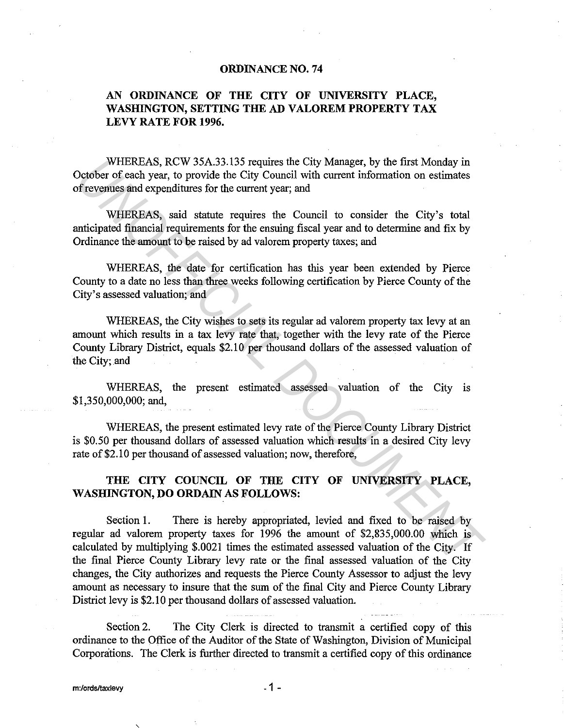## **ORDINANCE NO. 74**

## **AN ORDINANCE OF THE CITY OF UNIVERSITY PLACE, WASHINGTON, SETTING THE AD VALOREM PROPERTY TAX LEVY RATE FOR 1996.**

WHEREAS, RCW 35A.33.135 requires the City Manager, by the first Monday in October of each year, to provide the City Council with current information on estimates of revenues and expenditures for the current year; and

WHEREAS, said statute requires the Council to consider the City's total anticipated financial requirements for the ensuing fiscal year and to determine and fix by Ordinance the amount to be raised by ad valorem property taxes; and

WHEREAS, the date for certification has this year been extended by Pierce County to a date no less than three weeks following certification by Pierce County of the City's assessed valuation; and

WHEREAS, the City wishes to sets its regular ad valorem property tax levy at an amount which results in a tax levy rate that, together with the levy rate of the Pierce County Library District, equals \$2.10 per thousand dollars of the assessed valuation of the City; and

WHEREAS, the present estimated assessed valuation of the City is \$1,350,000,000; and,

WHEREAS, the present estimated levy rate of the Pierce County Library District is \$0.50 per thousand dollars of assessed valuation which results in a desired City levy rate of \$2.10 per thousand of assessed valuation; now, therefore,

## **THE CITY COUNCIL OF THE CITY OF UNIVERSITY PLACE, WASHINGTON, DO ORDAIN AS FOLLOWS:**

Section **1.** There is hereby appropriated, levied and fixed to be raised by regular ad valorem property taxes for 1996 the amount of \$2,835,000.00 which is calculated by multiplying \$.0021 times the estimated assessed valuation of the City. If the final Pierce County Library levy rate or the final assessed valuation of the City changes, the City authorizes and requests the Pierce County Assessor to adjust the levy amount as necessary to insure that the sum of the final City and Pierce County Library District levy is \$2.10 per thousand dollars of assessed valuation. WHEREAS, RCW 35A.33.135 requires the City Manager, by the first Monday in<br>
WHEREAS, RCW 35A.33.155 requires the Curon of eximate information on estimates<br>
or exercise and expenditures for the current year; and<br>
WHEREAS, sa

Section 2. The City Clerk is directed to transmit a certified copy of this ordinance to the Office of the Auditor of the State of Washington, Division of Municipal Corporations. The Clerk is further directed to transmit a certified copy of this ordinance